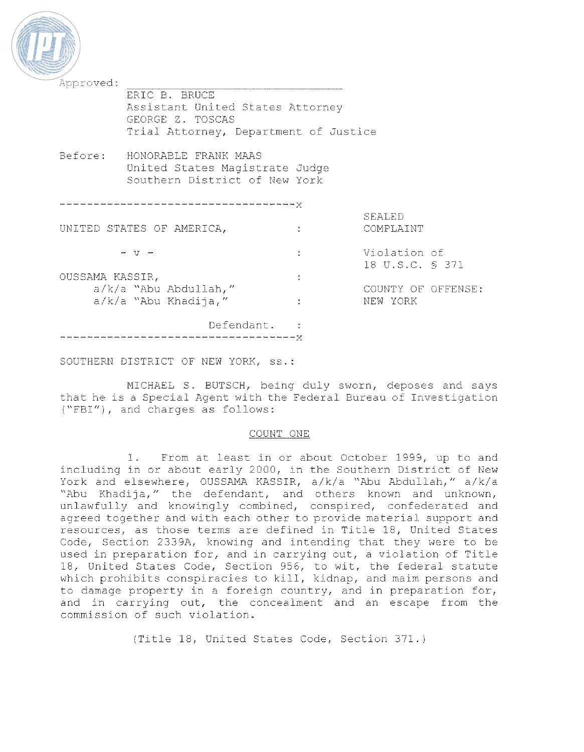| Approved:                 |                                       |  |                    |
|---------------------------|---------------------------------------|--|--------------------|
|                           | ERIC B. BRUCE                         |  |                    |
|                           | Assistant United States Attorney      |  |                    |
|                           | GEORGE Z. TOSCAS                      |  |                    |
|                           | Trial Attorney, Department of Justice |  |                    |
| Before:                   | HONORABLE FRANK MAAS                  |  |                    |
|                           | United States Magistrate Judge        |  |                    |
|                           | Southern District of New York         |  |                    |
|                           |                                       |  |                    |
|                           |                                       |  |                    |
|                           |                                       |  | SEALED             |
| UNITED STATES OF AMERICA, |                                       |  | COMPLAINT          |
|                           |                                       |  |                    |
|                           |                                       |  | Violation of       |
|                           |                                       |  | 18 U.S.C. § 371    |
| OUSSAMA KASSIR,           |                                       |  |                    |
| a/k/a "Abu Abdullah,"     |                                       |  | COUNTY OF OFFENSE: |
|                           | $a/k/a$ "Abu Khadija,"                |  | NEW YORK           |
|                           | Defendant, :                          |  |                    |
|                           |                                       |  |                    |

SOUTHERN DISTRICT OF NEW YORK, ss.:

MICHAEL S. BUTSCH, being duly sworn, deposes and says<br>that he is a Special Agent with the Federal Bureau of Investigation ("FBI"), and charges as follows:

## COUNT ONE

I. From at least in or about October 1999, up to and including in or about early 2000, in the Southern District of New York and elsewhere, OUSSAMA KASSIR, a/k/a "Abu Abdullah," a/k/a "Abu Khadija," the defendant, and others known and unknown, unlawfully and knowingly combined, conspired, confederated and agreed together and with each other to provide material support and resources, as those terms are defined in Title 18, United States Code, Section 2339A, knowing and intending that they were to be used in preparation for, and in carrying out, a violation of Titie 18, United States Code, Section 956, to wit, the federal statute which prohibits conspiracies to kill, kidnap, and maim persons and to damage property in a foreign country, and in preparation for, and in carrying out, the conceaiment and an escape from the commission of such violation.

(Title 18, United States Code, Section 371. j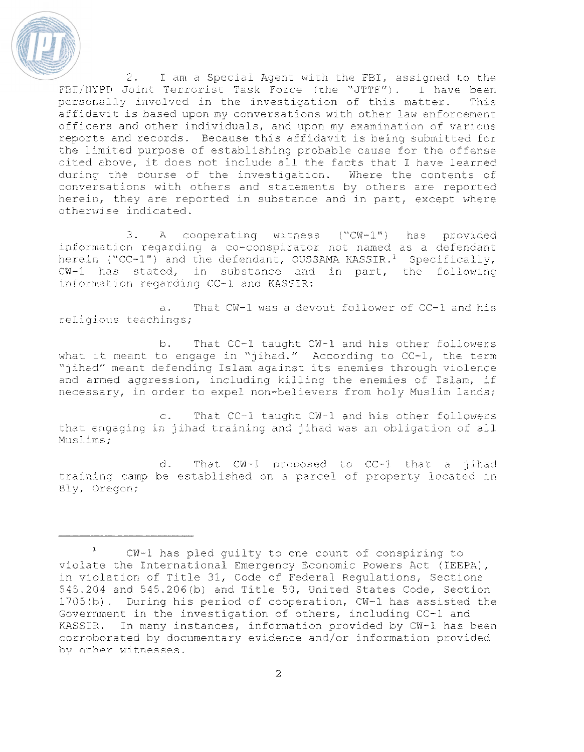

2. I am a Special Agent with the FBI, assigned to the FBI/NYPD Joint Terrorist Task Force (the "JTTF"). I have been personally involved in the investigation of this matter. This affidavit is based upon my conversations with other law enforcement officers and other individuals, and upon my examination of various reports and records. Because this affidavit is being submitted for the limited purpose of establishing probable cause for the offense cited above, it does not include all the facts that I have learned during the course of the investigation. Where the contents of conversations with others and statements by others are reported herein, they are reported in substance and in part, except where otherwise indicated.

A cooperating witness ("CW-1") has provided  $3.$ information regarding a co-conspirator not named as a defendant herein ("CC-1") and the defendant, OUSSAMA KASSIR.<sup>1</sup> Specifically, CW-1 has stated, in substance and in part, the following information regarding CC-1 and KASSIR:

That CW-1 was a devout follower of CC-1 and his a. religious teachings;

 $b$ . That CC-1 taught CW-1 and his other followers what it meant to engage in "jihad." According to CC-1, the term "jihad" meant defending Islam against its enemies through violence and armed aggression, including killing the enemies of Islam, if necessary, in order to expel non-believers from holy Muslim lands;

That CC-1 taught CW-1 and his other followers  $\infty$ . that engaging in jihad training and jihad was an obligation of all Muslims:

d. That CW-1 proposed to CC-1 that a jihad training camp be established on a parcel of property located in Bly, Oregon;

CW-1 has pled guilty to one count of conspiring to violate the International Emergency Economic Powers Act (IEEPA), in violation of Title 31, Code of Federal Regulations, Sections 545.204 and 545.206(b) and Title 50, United States Code, Section 1705(b). During his period of cooperation, CW-1 has assisted the Government in the investigation of others, including CC-1 and KASSIR. In many instances, information provided by CW-1 has been corroborated by documentary evidence and/or information provided by other witnesses.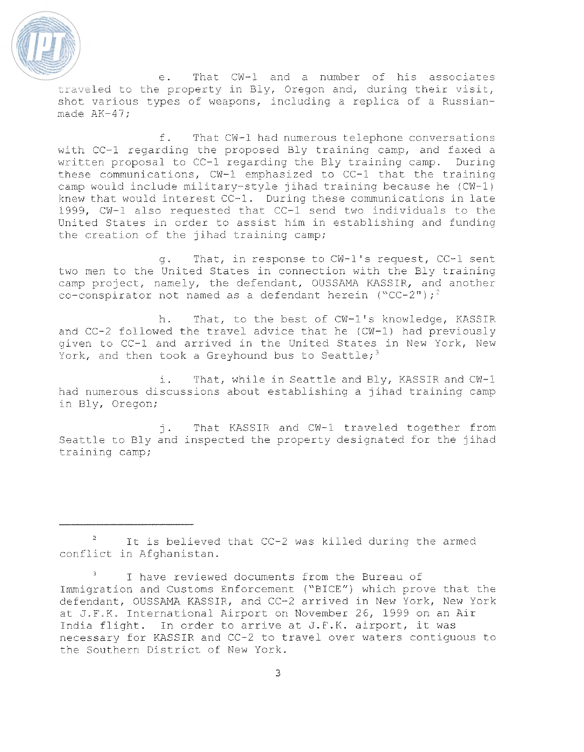

e. That CW-1 and a number of his associates .  $e$ . That CW-1 and a number of his associates traveled to the property in Bly, Oregon and, during their visit, shot various types of weapons, including a replica of a Russianmade AK-47;

f. That CW-1 had numerous telephone conversations with CC-1 regarding the proposed Bly training camp, and faxed a written proposal to CC-1 regarding the Bly training camp. During these communications,  $CW-1$  emphasized to  $CC-1$  that the training camp would include military-style jihad training because he (CW-1) knew that would interest  $CC-1$ . During these communications in late 1999,  $CW-1$  also requested that  $CC-1$  send two individuals to the United States in order to assist him in establishing and funding the creation of the jihad training camp;

q. That, in response to CW-1's request, CC-1 sent. two men to the United States in connection with the Sly training camp project, namely, the defendant, OUSSAMA KASSIP, and another co-conspirator not named as a defendant herein ("CC-2");<sup>2</sup>

b. That, to the best of CW-1's knowledge, KASSIR and CC-2 followed the travel advice that he (CW-1) had previously given to CC-1 and arrived in the United States in New York, New York, and then took a Greyhound bus to Seattle;<sup>3</sup>

i. That, while in Seattle and Bly, KASSIR and CW-1 had numerous discussions about establishing a jihad training camp in Dly, Oregon;

i. That KASSIR and CW-1 traveled together from Seattle to Bly and inspected the property designated for the jihad training camp;

It is believed that CC-2 was killed during the armed conflict in Afghanistan.

I have reviewed documents from the Bureau of Immigration and Customs Enforcement ("BICE") which prove that the defendant, OUSSAMA KASSIR, and CC-2 arrived in New York, New York at J.F.K. International Airport on November 26, 1999 on an Air India flight. In order to arrive at J.F.K. airport, it was necessary for KASSIR and CC-2 to travel over waters contiguous to the Southern District of New York.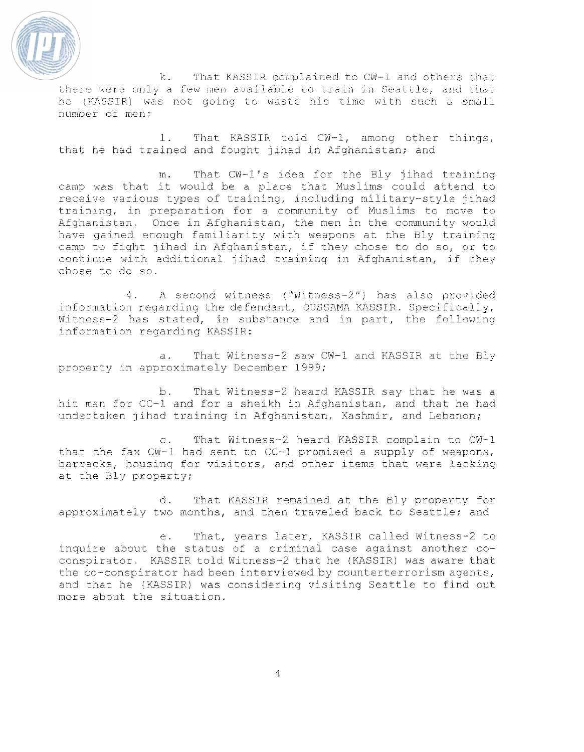

k. That KASSIR complained to CW-1 and others that<br>there were only a few men available to train in Seattle, and that he (KASSIR) was not going to waste his time with such a small number of men;

1. That KASSIR told CW-1, among other things, that he had trained and fought jihad in Afghanistan; and

m. That CW-1's idea for the Bly jihad training camp was that it would be a place that Muslims could attend to receive various types of training, including military-style jihad training, in preparation for a community of Muslims to move to Afghanistan. Once in Afghanistan, the men in the community would have gained enough familiarity with weapons at the Bly training camp to fight jihad in Afghanistan, if they chose to do so, or to continue with additional jihad training in Afghanistan, if they chose to do so.

0. A second witness ("Witness-2") has also provided information regarding the defendant, OUSSAMA KASSIR. Specifically, Witness-2 has stated, in substance and in part, the following information regarding KASSIR:

a. That Witness-2 saw CW-1 and KASSIR at the Bly property in approximately December 1999;

b. That Witness-2 heard KASSIR say that he was a hit man for CC-1 and for a sheikh in Afghanistan, and that he had undertaken jihad training in Afghanistan, Kashmir, and Lebanon;

c. That Witness-2 heard KASSIR complain to CW-I that the fax  $CW-1$  had sent to  $CC-1$  promised a supply of weapons, barracks, housing for visitors, and other items that were lacking at the Bly property;

d. That KASSIR remained at the Bly property for approximately two months, and then traveled back to Seattle; and

e. That, years iater, KASSIR called Witness-2 to inquire about the status of a criminal case against another coconspirator. KASSIR told Witness-2 that he (KASSIR) was aware that the co-conspirator had been interviewed by counterterrorism agents, and that he (KASSIR) was considering visiting Seattle to find out more about the situation.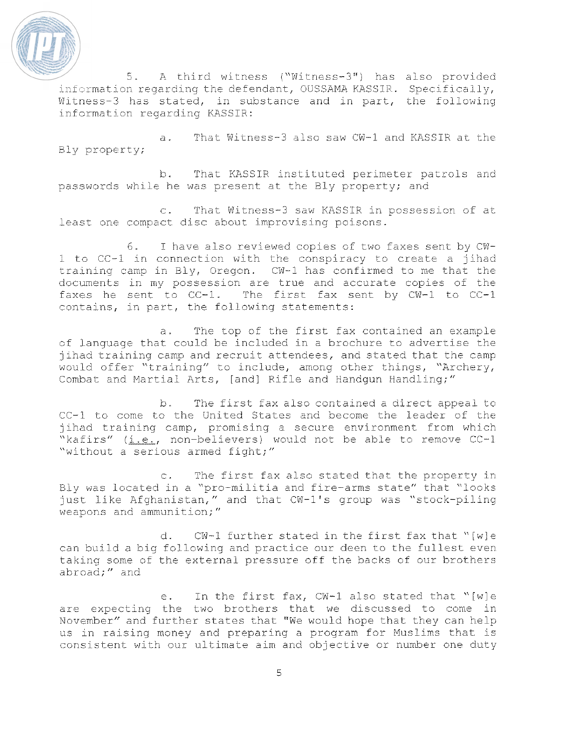

5. A third witness ("Witness-3") has also provided information regarding the defendant, OUSSAMA KASSIR. Specifically, Witness-3 has stated, in substance and in part, the following information regarding KASSIR:

a. That Witness-3 also saw CW-1 and KASSIR at the Bly property;

b. That KASSIR instituted perimeter patrols and passwords while he was present at the Bly property; and

c. That Witness-3 saw KASSIR in possession of at least one compact disc about improvising poisons.

6. I have also reviewed copies of two faxes sent by CW- $1$  to CC-1 in connection with the conspiracy to create a jihad training camp in Biy, Oregon. CW-1 has confirmed to me that the documents in my possession are true and accurate copies of the faxes he sent to  $CC-1$ . The first fax sent by  $CW-1$  to  $CC-1$ contains, in part, the following statements:

a. The top of the first fax contained an example of Language that could be included in a brochure to advertise the jihad training camp and recruit attendees, and stated that the camp would offer "training" to include, among other things, "Archery, Combat and Martial Arts, [and] Rifle and Handqun Handling;"

b. The first fax aiso contained a direct appeal to CC-1 to come to the United States and become the leader of the jihad training camp, promising a secure environment from which "kafirs"  $(i.e.,$  non-believers) would not be able to remove  $CC-1$ "without a serious armed fight;"

c. The first fax also stated that the property in Bly was located in a "pro-militia and fire-arms state" that "looks just like Afghanistan," and that CW-1's group was "stock-piling weapons and ammunition;"

d.  $CW-1$  further stated in the first fax that "[w]e can build a big following and practice our deen to the fullest even taking some of the external pressure off the backs of our brothers abroad;" and

e. In the first fax, CW-1 also stated that "[wle are expecting the two brothers that we discussed to come in November" and further states that "We would hope that they can help us in raising money and preparing a program for Muslims that is consistent with our ultimate aim and objective or number one duty